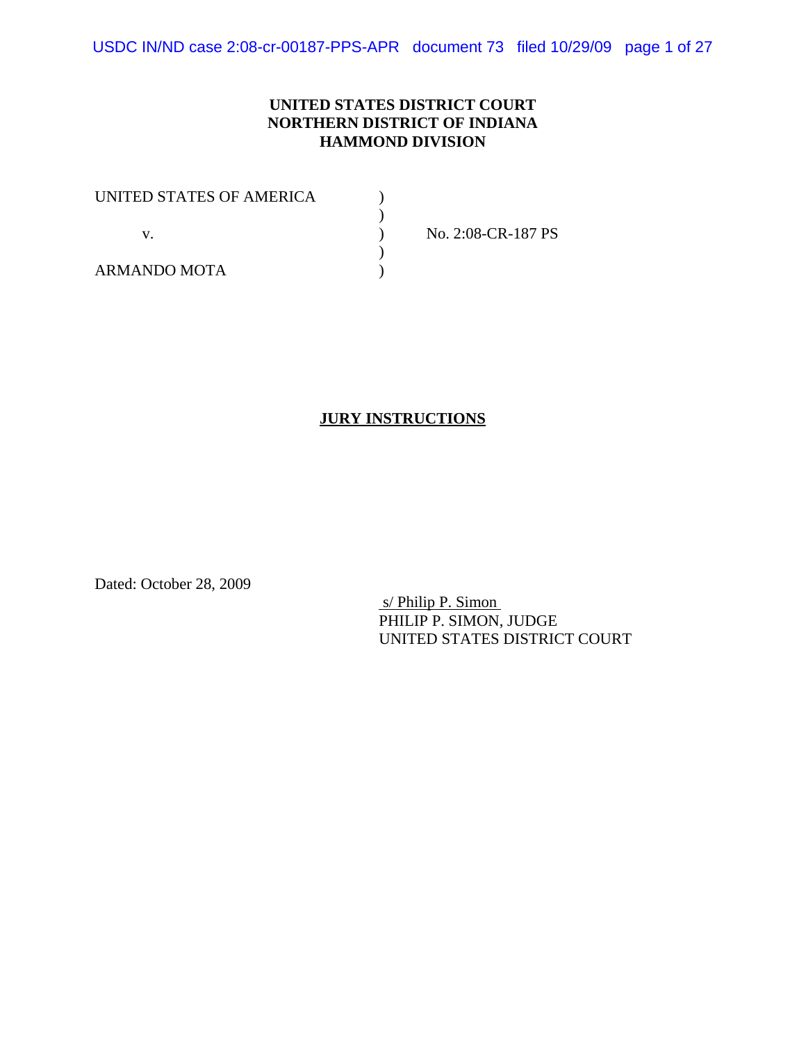USDC IN/ND case 2:08-cr-00187-PPS-APR document 73 filed 10/29/09 page 1 of 27

### **UNITED STATES DISTRICT COURT NORTHERN DISTRICT OF INDIANA HAMMOND DIVISION**

| UNITED STATES OF AMERICA |                    |
|--------------------------|--------------------|
|                          |                    |
|                          | No. 2:08-CR-187 PS |
|                          |                    |
| ARMANDO MOTA             |                    |

### **JURY INSTRUCTIONS**

Dated: October 28, 2009

 s/ Philip P. Simon PHILIP P. SIMON, JUDGE UNITED STATES DISTRICT COURT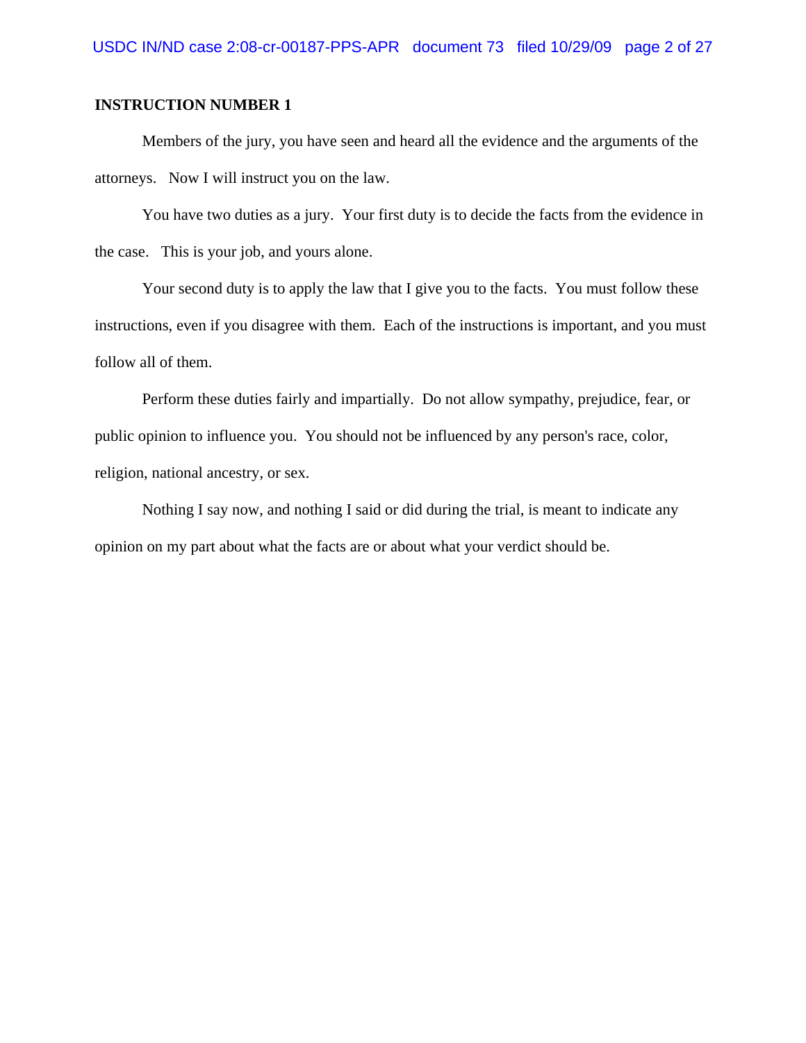Members of the jury, you have seen and heard all the evidence and the arguments of the attorneys. Now I will instruct you on the law.

You have two duties as a jury. Your first duty is to decide the facts from the evidence in the case. This is your job, and yours alone.

Your second duty is to apply the law that I give you to the facts. You must follow these instructions, even if you disagree with them. Each of the instructions is important, and you must follow all of them.

Perform these duties fairly and impartially. Do not allow sympathy, prejudice, fear, or public opinion to influence you. You should not be influenced by any person's race, color, religion, national ancestry, or sex.

Nothing I say now, and nothing I said or did during the trial, is meant to indicate any opinion on my part about what the facts are or about what your verdict should be.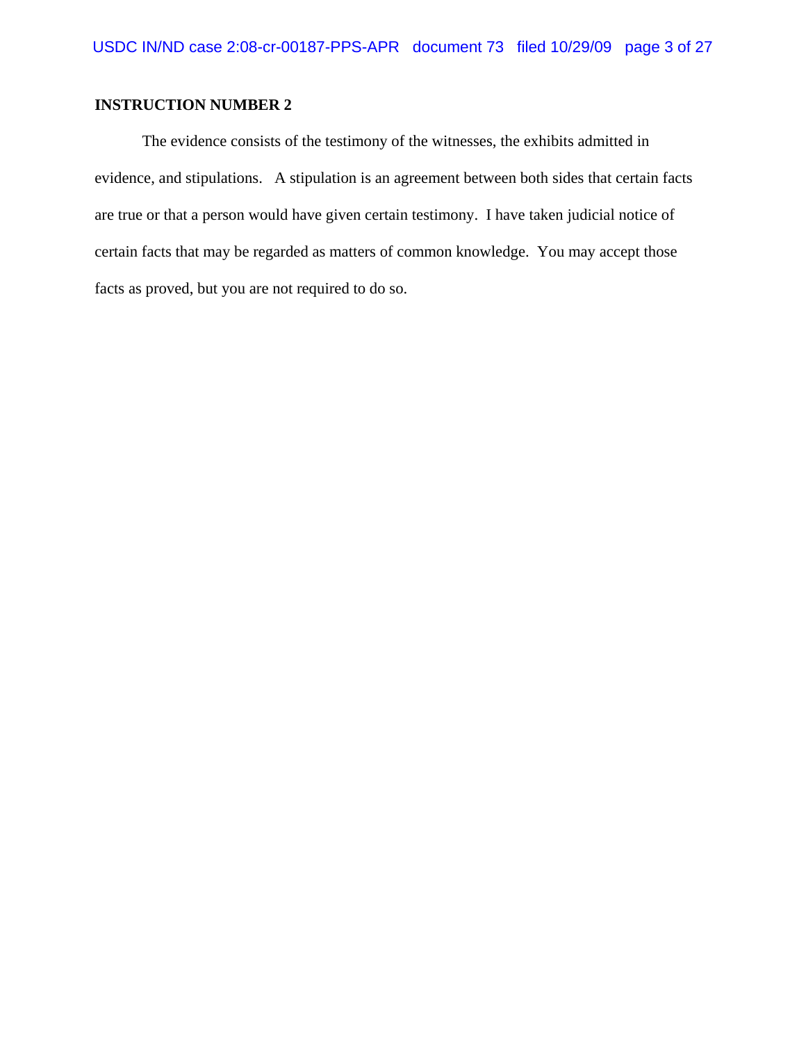The evidence consists of the testimony of the witnesses, the exhibits admitted in evidence, and stipulations. A stipulation is an agreement between both sides that certain facts are true or that a person would have given certain testimony. I have taken judicial notice of certain facts that may be regarded as matters of common knowledge. You may accept those facts as proved, but you are not required to do so.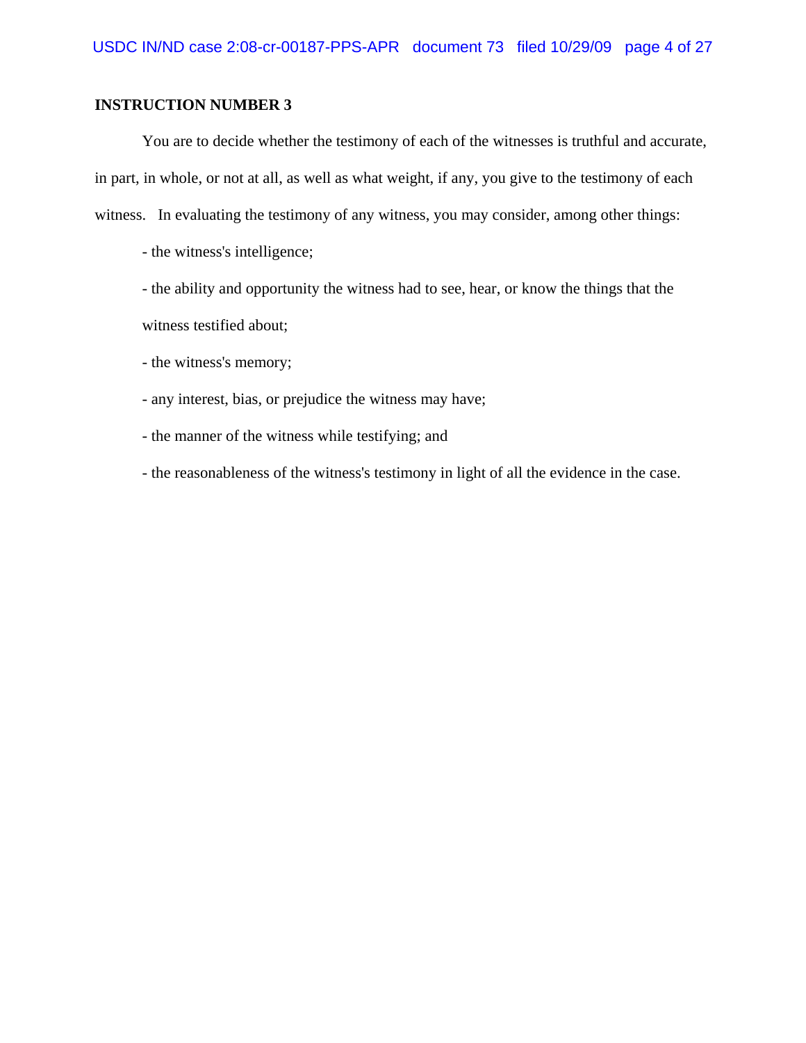You are to decide whether the testimony of each of the witnesses is truthful and accurate, in part, in whole, or not at all, as well as what weight, if any, you give to the testimony of each witness. In evaluating the testimony of any witness, you may consider, among other things:

- the witness's intelligence;

- the ability and opportunity the witness had to see, hear, or know the things that the witness testified about;

- the witness's memory;

- any interest, bias, or prejudice the witness may have;

- the manner of the witness while testifying; and

- the reasonableness of the witness's testimony in light of all the evidence in the case.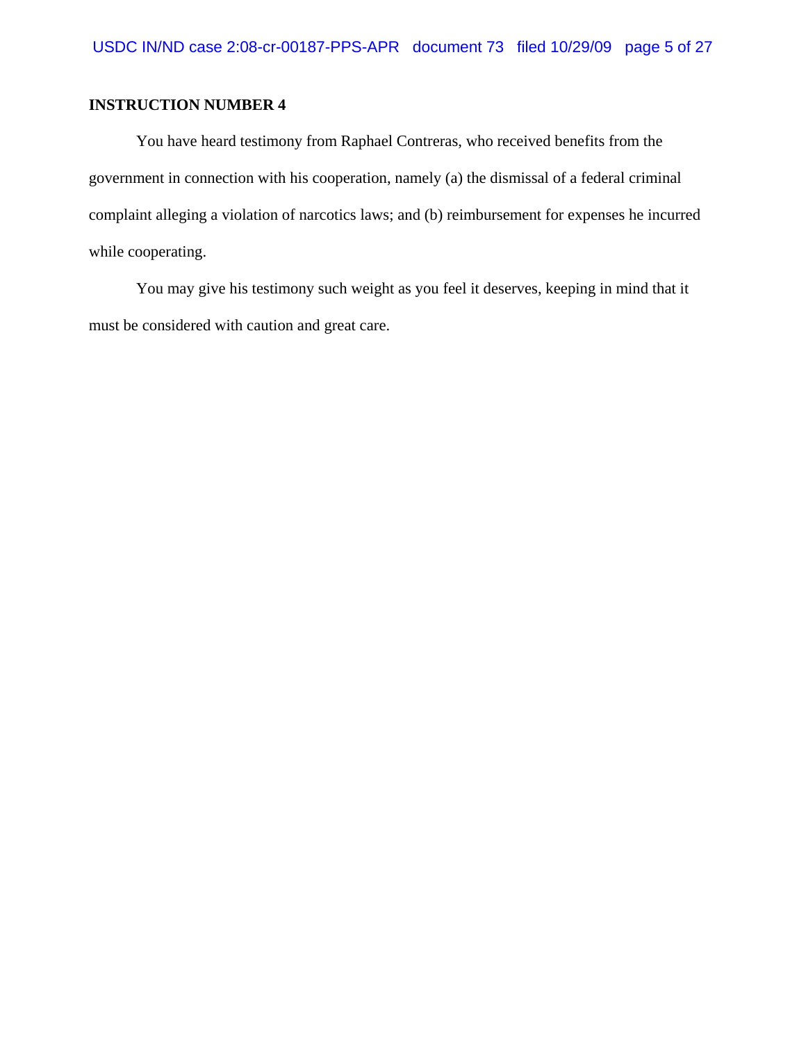You have heard testimony from Raphael Contreras, who received benefits from the government in connection with his cooperation, namely (a) the dismissal of a federal criminal complaint alleging a violation of narcotics laws; and (b) reimbursement for expenses he incurred while cooperating.

You may give his testimony such weight as you feel it deserves, keeping in mind that it must be considered with caution and great care.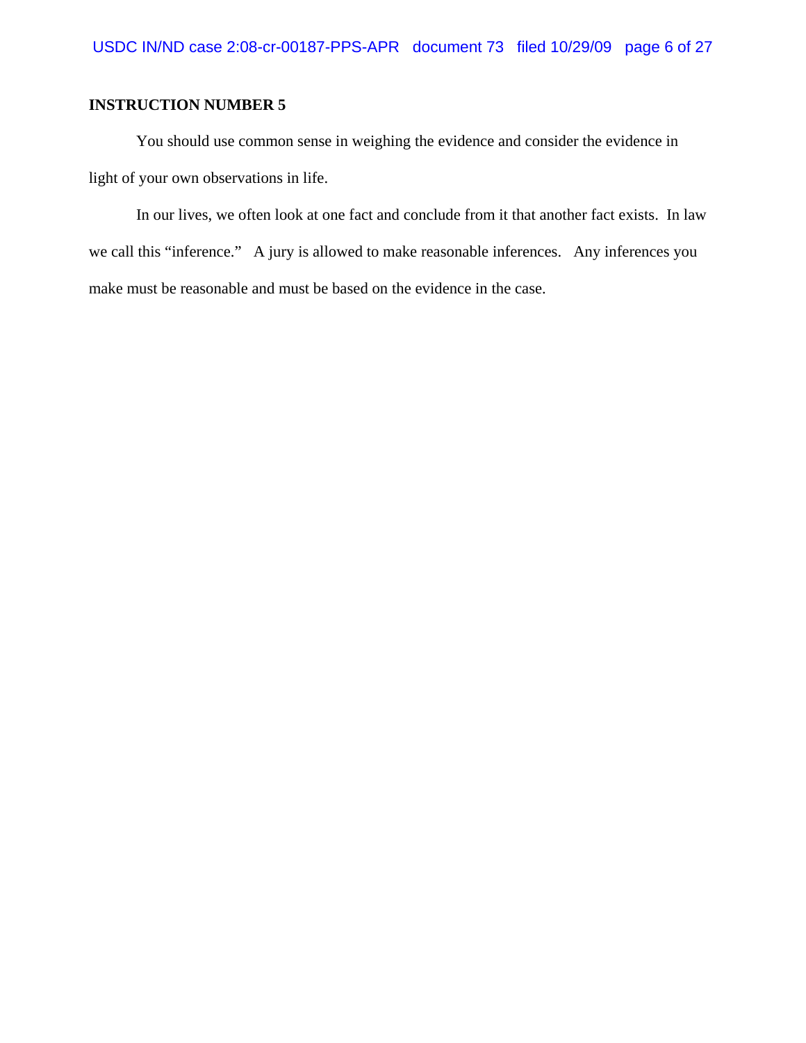You should use common sense in weighing the evidence and consider the evidence in light of your own observations in life.

In our lives, we often look at one fact and conclude from it that another fact exists. In law we call this "inference." A jury is allowed to make reasonable inferences. Any inferences you make must be reasonable and must be based on the evidence in the case.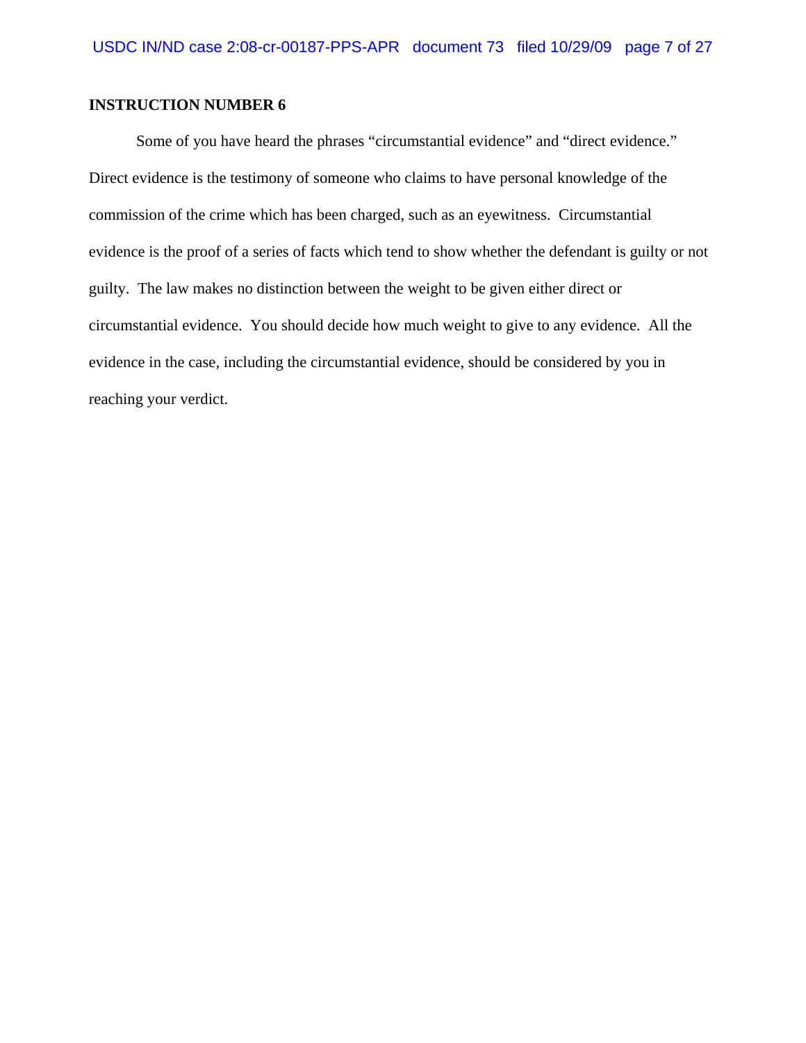Some of you have heard the phrases "circumstantial evidence" and "direct evidence." Direct evidence is the testimony of someone who claims to have personal knowledge of the commission of the crime which has been charged, such as an eyewitness. Circumstantial evidence is the proof of a series of facts which tend to show whether the defendant is guilty or not guilty. The law makes no distinction between the weight to be given either direct or circumstantial evidence. You should decide how much weight to give to any evidence. All the evidence in the case, including the circumstantial evidence, should be considered by you in reaching your verdict.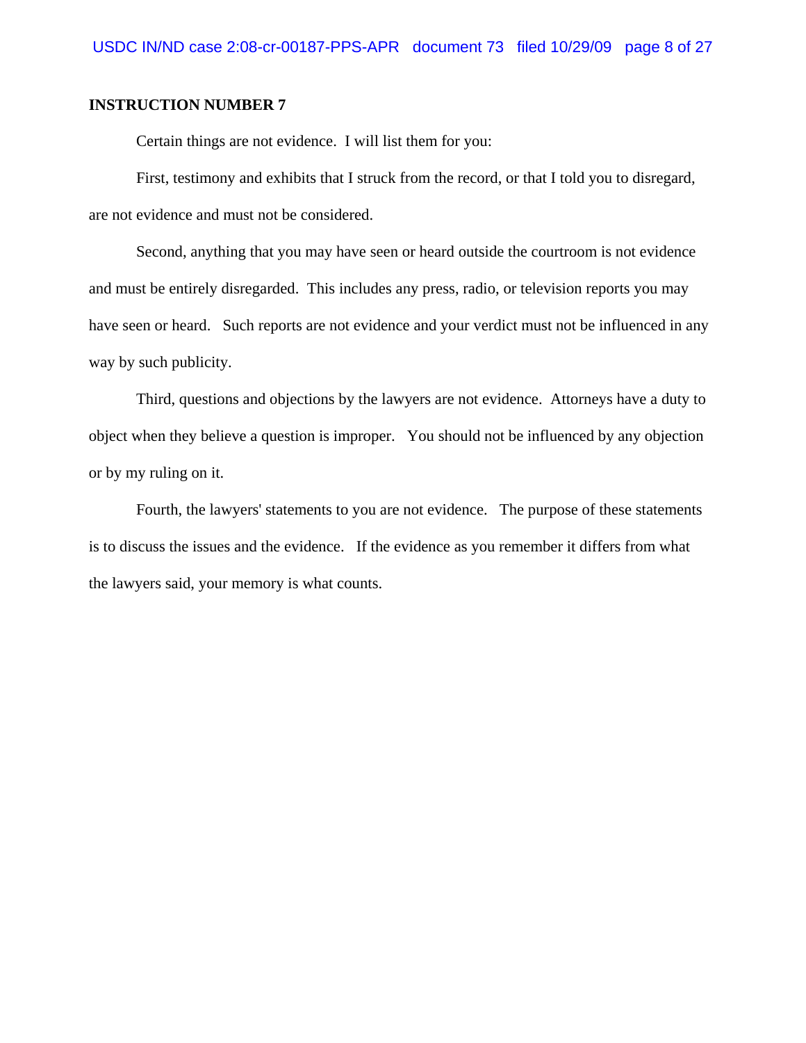Certain things are not evidence. I will list them for you:

First, testimony and exhibits that I struck from the record, or that I told you to disregard, are not evidence and must not be considered.

Second, anything that you may have seen or heard outside the courtroom is not evidence and must be entirely disregarded. This includes any press, radio, or television reports you may have seen or heard. Such reports are not evidence and your verdict must not be influenced in any way by such publicity.

Third, questions and objections by the lawyers are not evidence. Attorneys have a duty to object when they believe a question is improper. You should not be influenced by any objection or by my ruling on it.

Fourth, the lawyers' statements to you are not evidence. The purpose of these statements is to discuss the issues and the evidence. If the evidence as you remember it differs from what the lawyers said, your memory is what counts.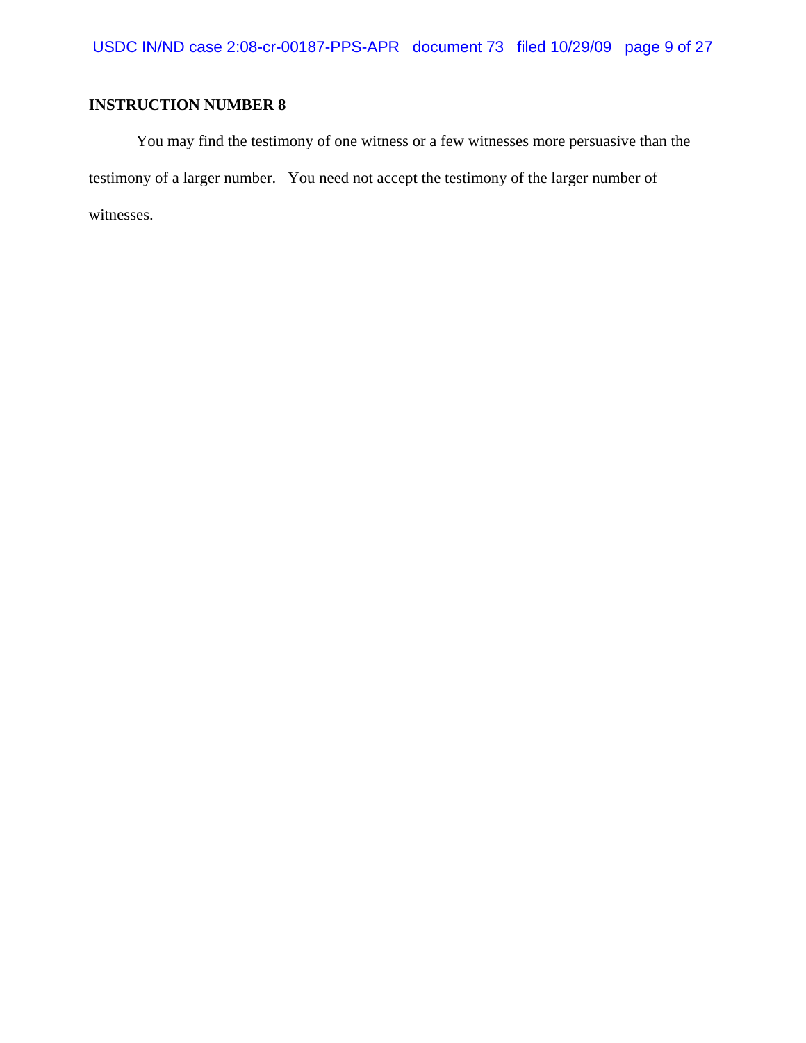You may find the testimony of one witness or a few witnesses more persuasive than the testimony of a larger number. You need not accept the testimony of the larger number of witnesses.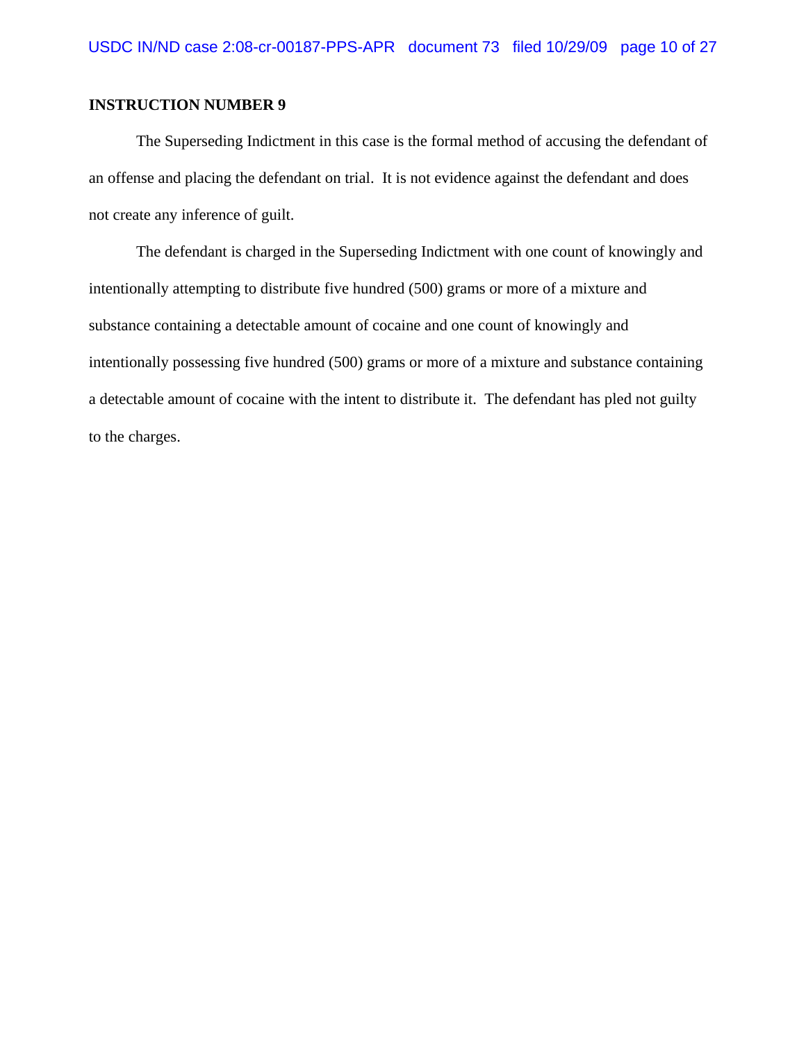The Superseding Indictment in this case is the formal method of accusing the defendant of an offense and placing the defendant on trial. It is not evidence against the defendant and does not create any inference of guilt.

The defendant is charged in the Superseding Indictment with one count of knowingly and intentionally attempting to distribute five hundred (500) grams or more of a mixture and substance containing a detectable amount of cocaine and one count of knowingly and intentionally possessing five hundred (500) grams or more of a mixture and substance containing a detectable amount of cocaine with the intent to distribute it. The defendant has pled not guilty to the charges.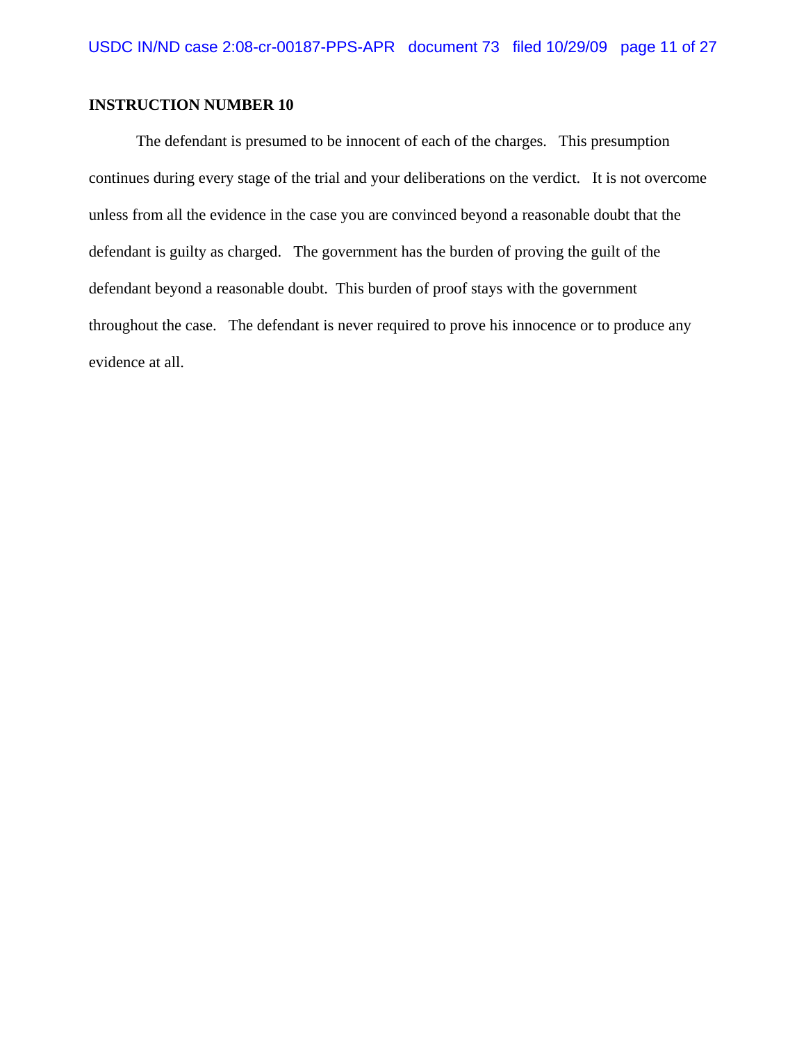The defendant is presumed to be innocent of each of the charges. This presumption continues during every stage of the trial and your deliberations on the verdict. It is not overcome unless from all the evidence in the case you are convinced beyond a reasonable doubt that the defendant is guilty as charged. The government has the burden of proving the guilt of the defendant beyond a reasonable doubt. This burden of proof stays with the government throughout the case. The defendant is never required to prove his innocence or to produce any evidence at all.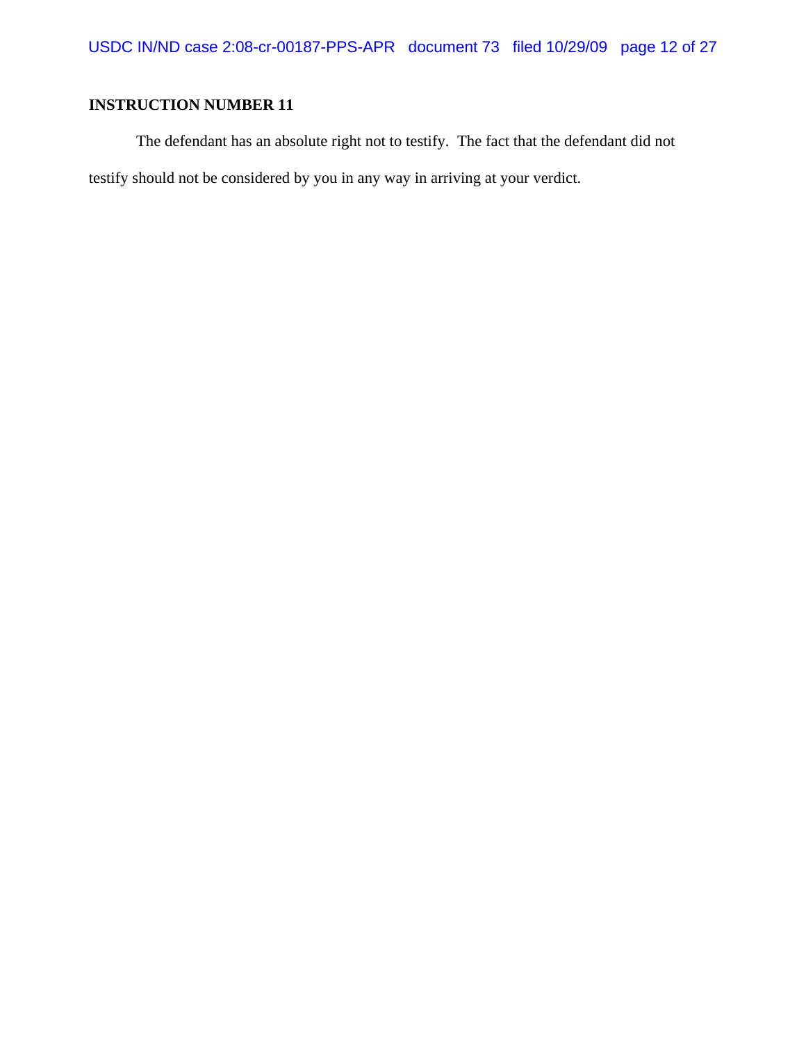The defendant has an absolute right not to testify. The fact that the defendant did not testify should not be considered by you in any way in arriving at your verdict.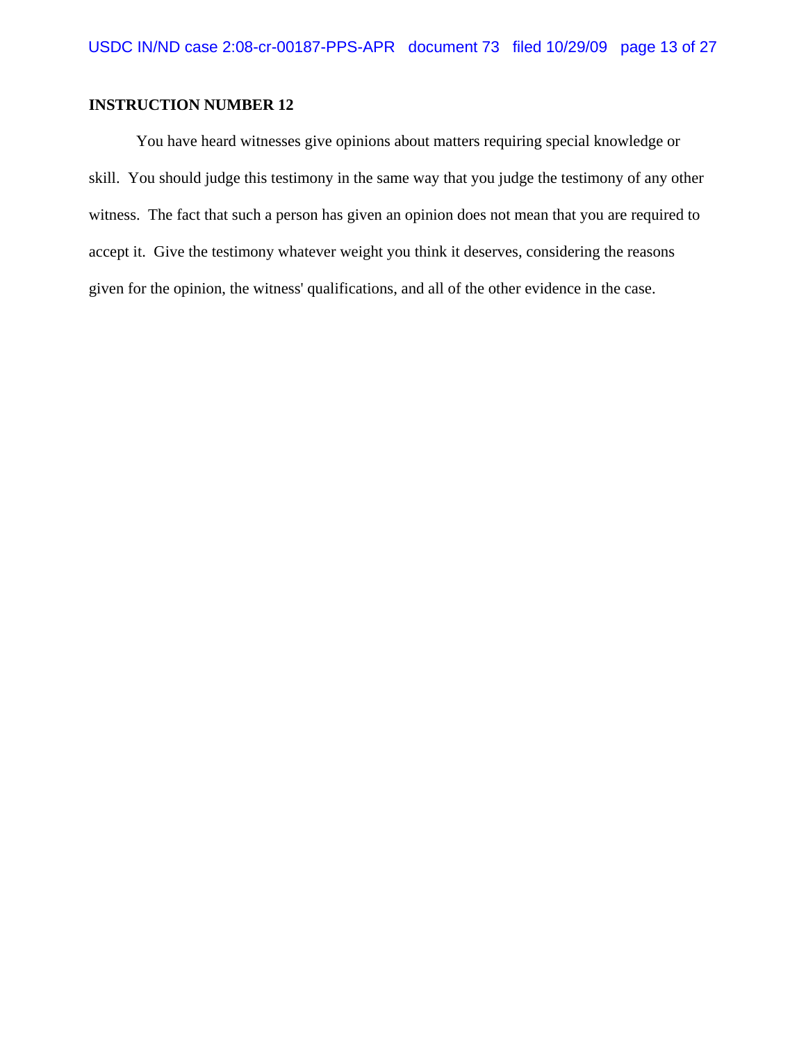You have heard witnesses give opinions about matters requiring special knowledge or skill. You should judge this testimony in the same way that you judge the testimony of any other witness. The fact that such a person has given an opinion does not mean that you are required to accept it. Give the testimony whatever weight you think it deserves, considering the reasons given for the opinion, the witness' qualifications, and all of the other evidence in the case.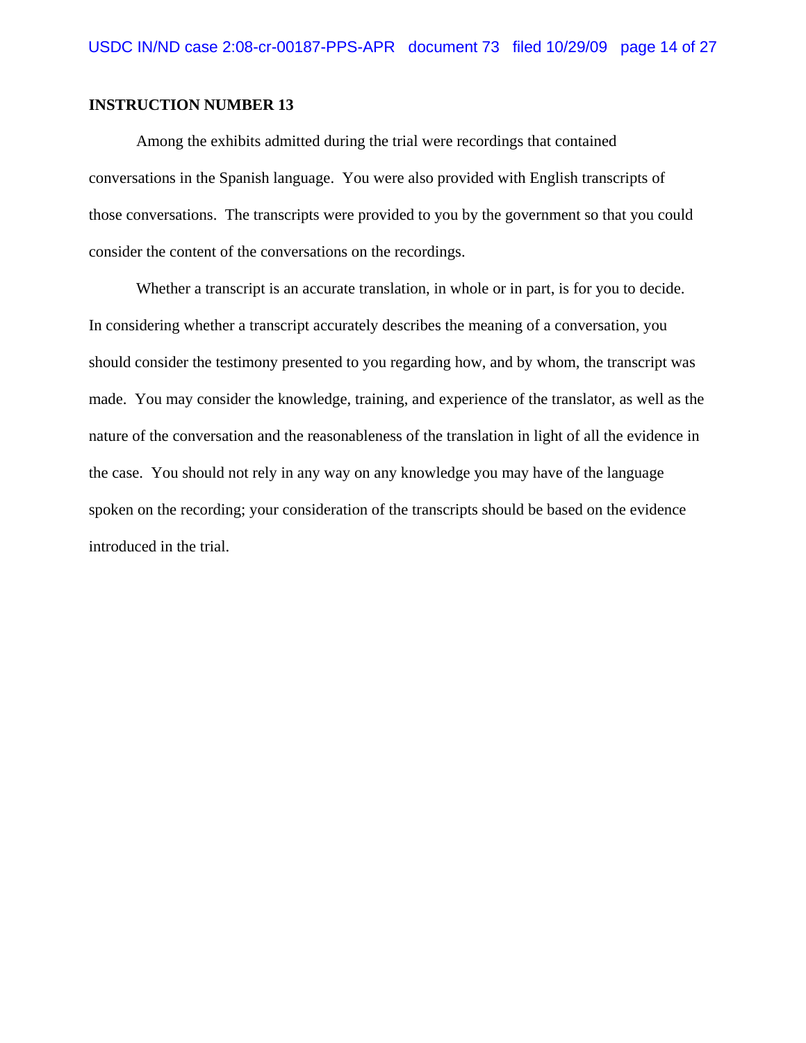Among the exhibits admitted during the trial were recordings that contained conversations in the Spanish language. You were also provided with English transcripts of those conversations. The transcripts were provided to you by the government so that you could consider the content of the conversations on the recordings.

Whether a transcript is an accurate translation, in whole or in part, is for you to decide. In considering whether a transcript accurately describes the meaning of a conversation, you should consider the testimony presented to you regarding how, and by whom, the transcript was made. You may consider the knowledge, training, and experience of the translator, as well as the nature of the conversation and the reasonableness of the translation in light of all the evidence in the case. You should not rely in any way on any knowledge you may have of the language spoken on the recording; your consideration of the transcripts should be based on the evidence introduced in the trial.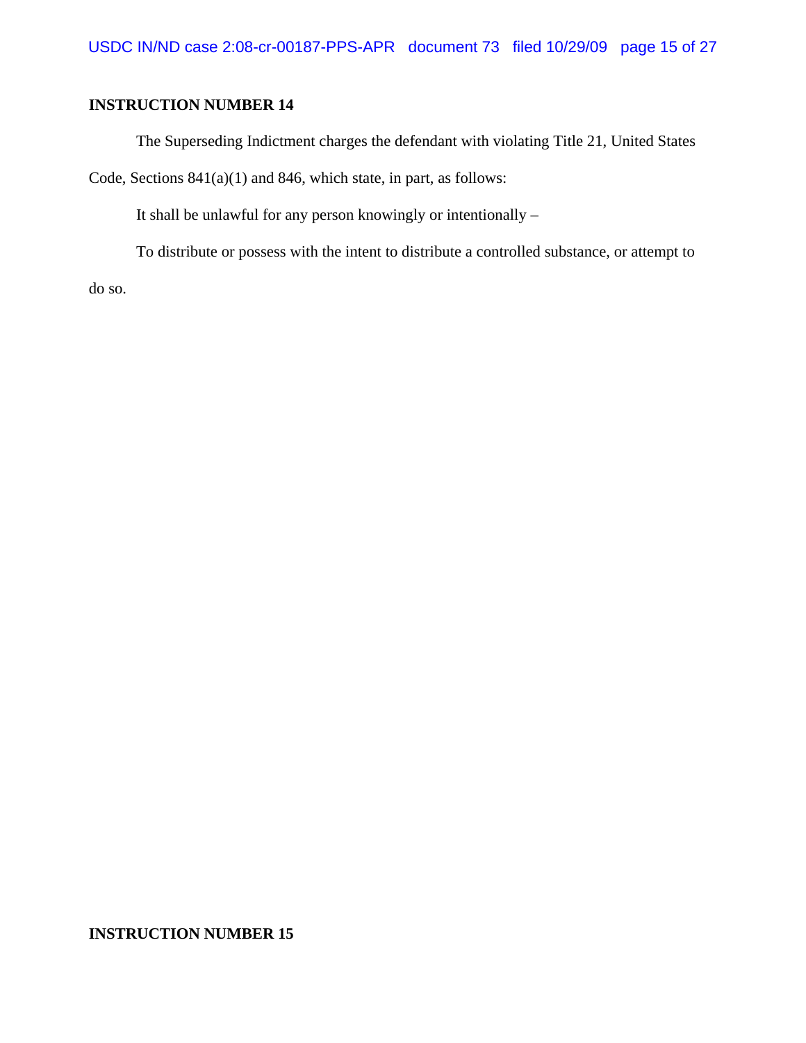The Superseding Indictment charges the defendant with violating Title 21, United States

Code, Sections 841(a)(1) and 846, which state, in part, as follows:

It shall be unlawful for any person knowingly or intentionally –

To distribute or possess with the intent to distribute a controlled substance, or attempt to

do so.

#### **INSTRUCTION NUMBER 15**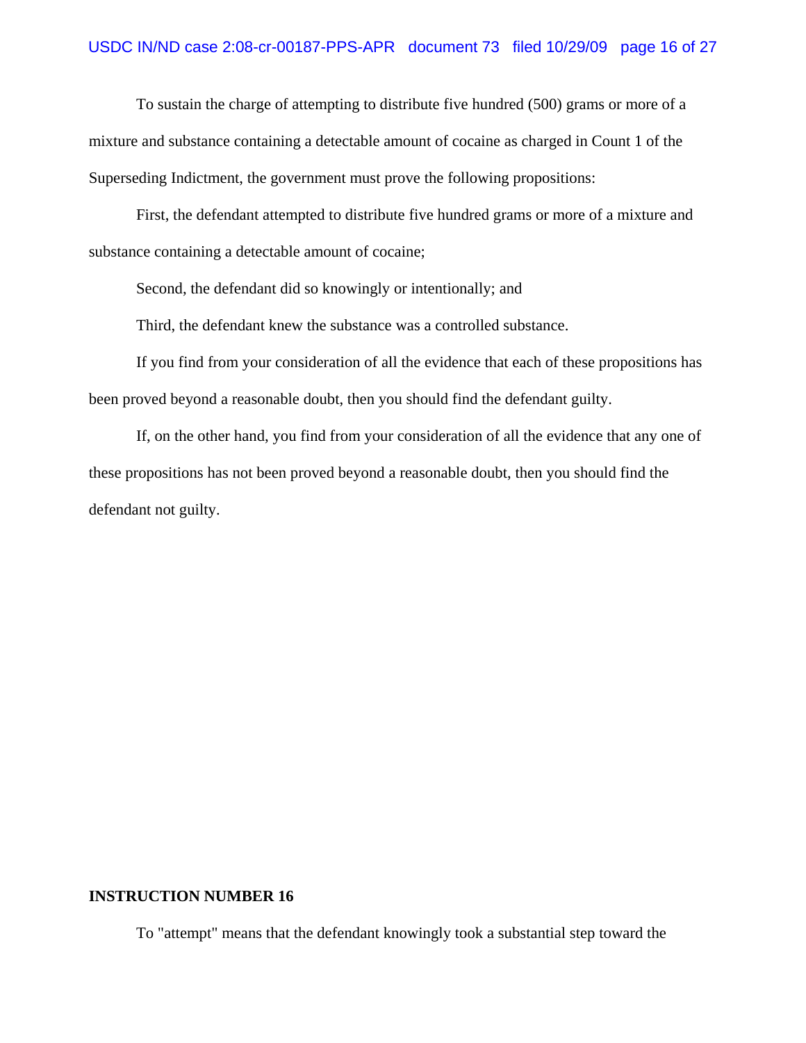To sustain the charge of attempting to distribute five hundred (500) grams or more of a mixture and substance containing a detectable amount of cocaine as charged in Count 1 of the Superseding Indictment, the government must prove the following propositions:

First, the defendant attempted to distribute five hundred grams or more of a mixture and substance containing a detectable amount of cocaine;

Second, the defendant did so knowingly or intentionally; and

Third, the defendant knew the substance was a controlled substance.

If you find from your consideration of all the evidence that each of these propositions has been proved beyond a reasonable doubt, then you should find the defendant guilty.

If, on the other hand, you find from your consideration of all the evidence that any one of these propositions has not been proved beyond a reasonable doubt, then you should find the defendant not guilty.

#### **INSTRUCTION NUMBER 16**

To "attempt" means that the defendant knowingly took a substantial step toward the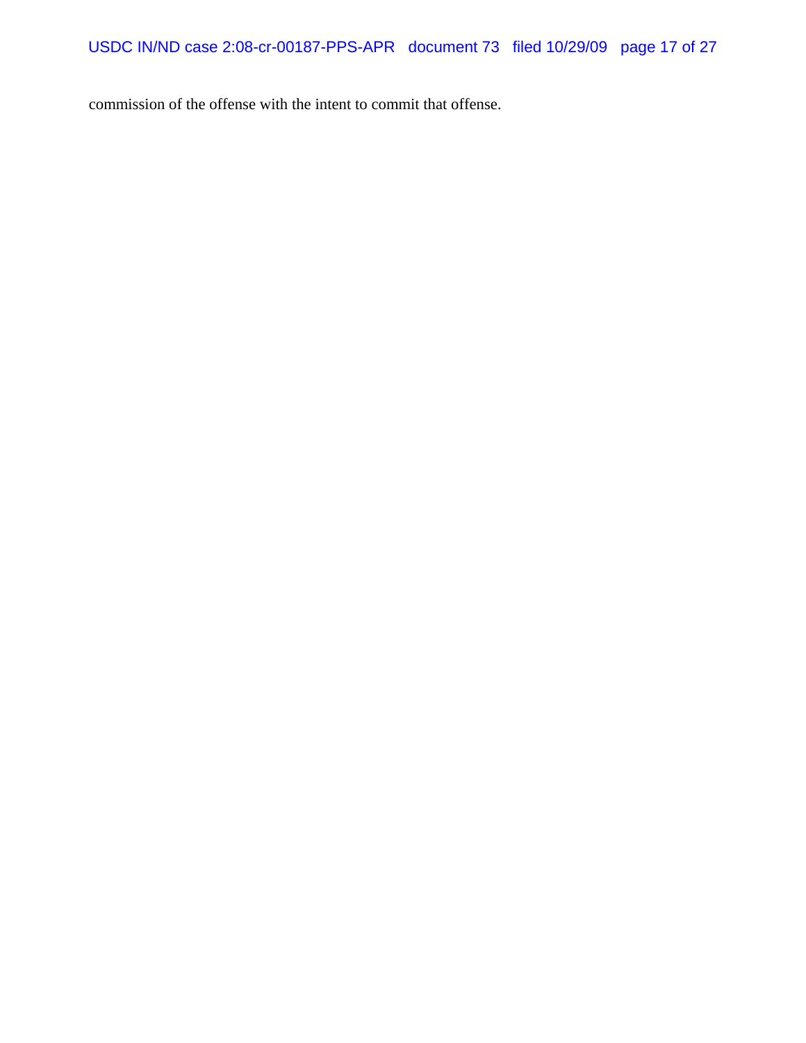commission of the offense with the intent to commit that offense.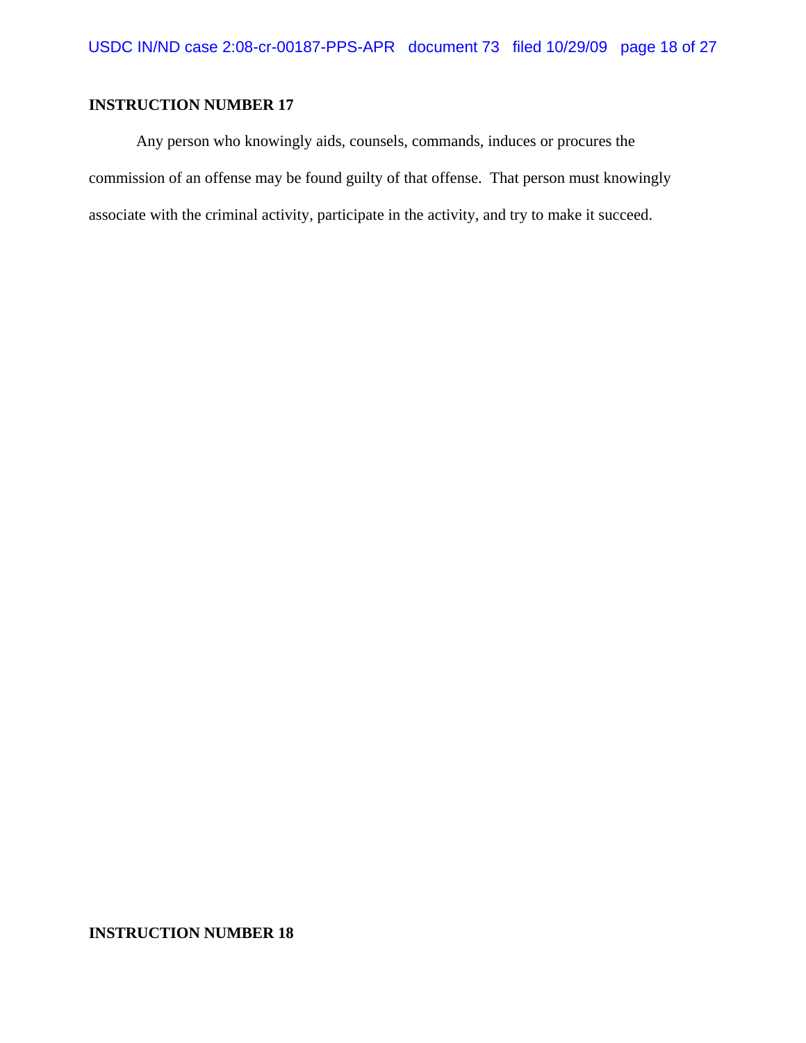Any person who knowingly aids, counsels, commands, induces or procures the commission of an offense may be found guilty of that offense. That person must knowingly associate with the criminal activity, participate in the activity, and try to make it succeed.

**INSTRUCTION NUMBER 18**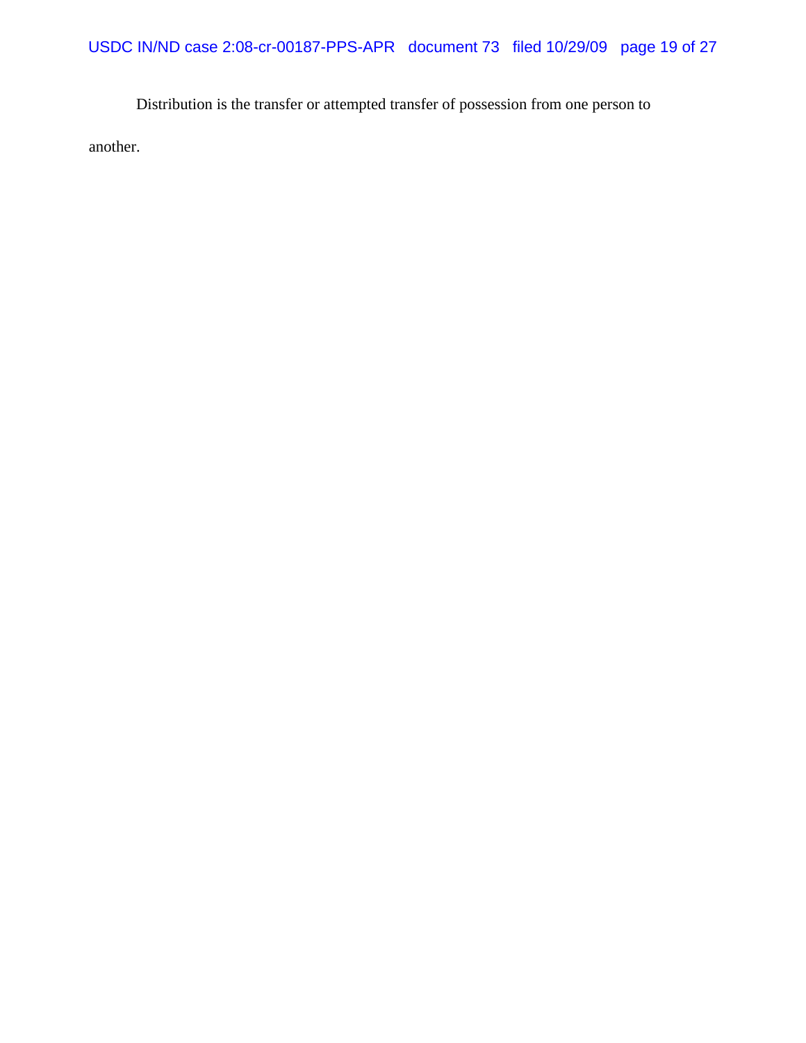USDC IN/ND case 2:08-cr-00187-PPS-APR document 73 filed 10/29/09 page 19 of 27

Distribution is the transfer or attempted transfer of possession from one person to

another.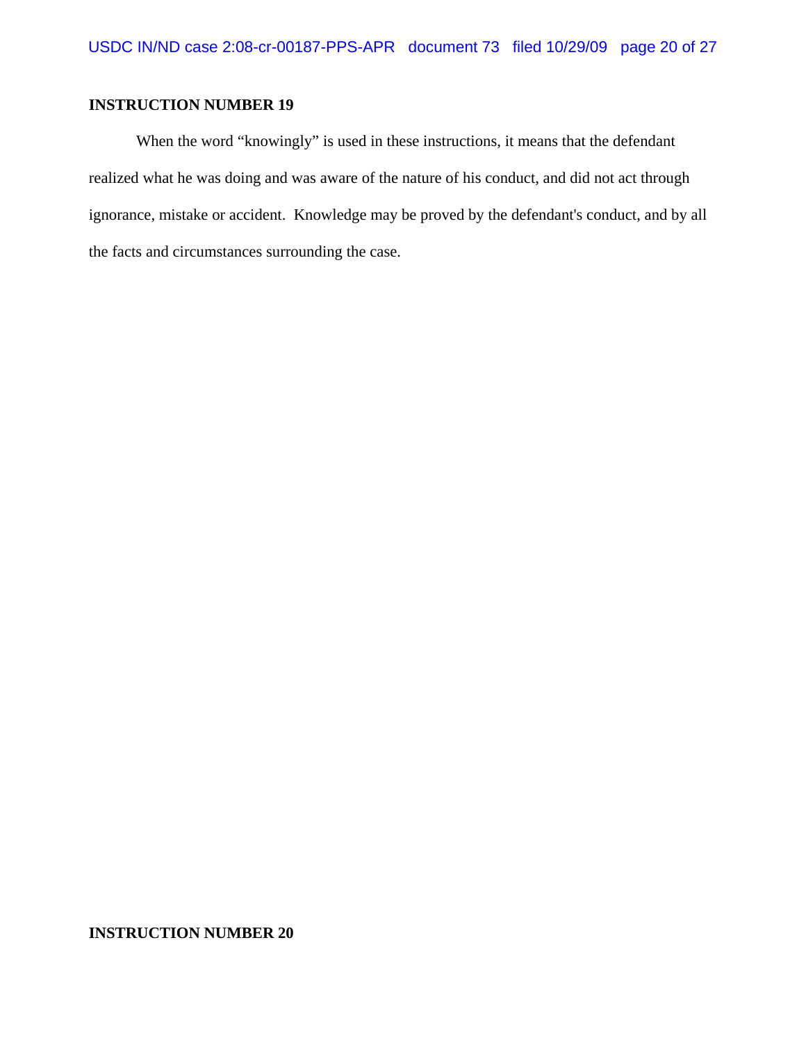When the word "knowingly" is used in these instructions, it means that the defendant realized what he was doing and was aware of the nature of his conduct, and did not act through ignorance, mistake or accident. Knowledge may be proved by the defendant's conduct, and by all the facts and circumstances surrounding the case.

#### **INSTRUCTION NUMBER 20**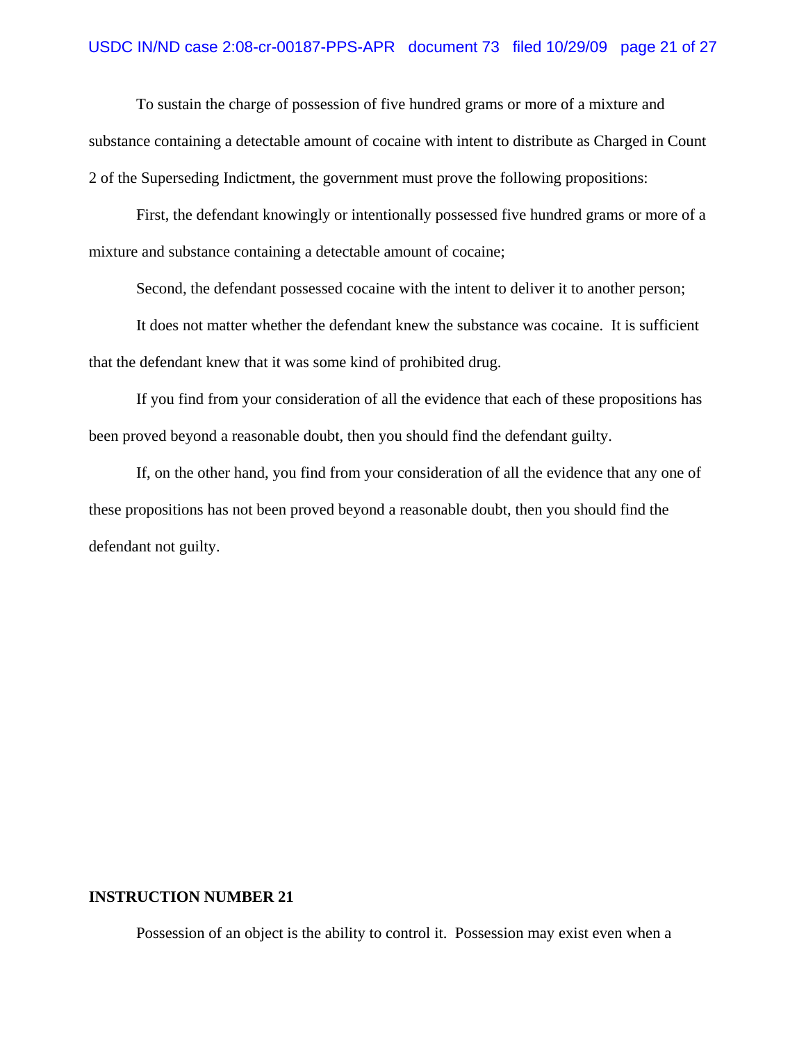To sustain the charge of possession of five hundred grams or more of a mixture and substance containing a detectable amount of cocaine with intent to distribute as Charged in Count 2 of the Superseding Indictment, the government must prove the following propositions:

First, the defendant knowingly or intentionally possessed five hundred grams or more of a mixture and substance containing a detectable amount of cocaine;

Second, the defendant possessed cocaine with the intent to deliver it to another person;

It does not matter whether the defendant knew the substance was cocaine. It is sufficient that the defendant knew that it was some kind of prohibited drug.

If you find from your consideration of all the evidence that each of these propositions has been proved beyond a reasonable doubt, then you should find the defendant guilty.

If, on the other hand, you find from your consideration of all the evidence that any one of these propositions has not been proved beyond a reasonable doubt, then you should find the defendant not guilty.

#### **INSTRUCTION NUMBER 21**

Possession of an object is the ability to control it. Possession may exist even when a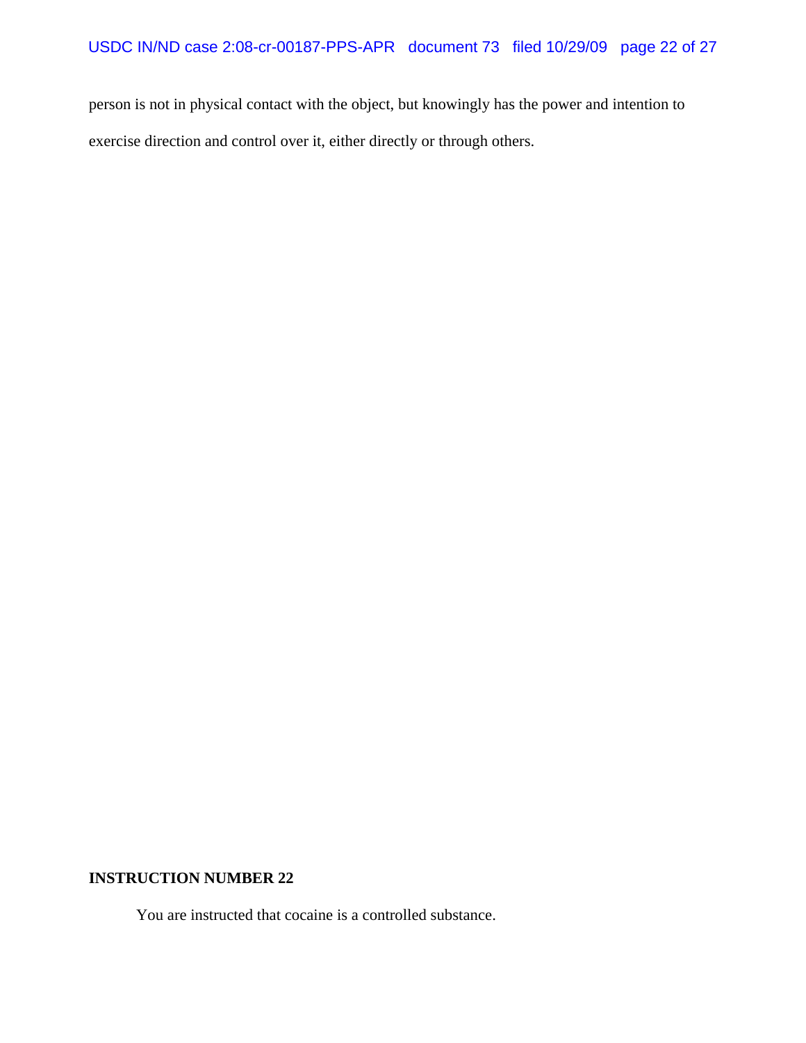person is not in physical contact with the object, but knowingly has the power and intention to exercise direction and control over it, either directly or through others.

#### **INSTRUCTION NUMBER 22**

You are instructed that cocaine is a controlled substance.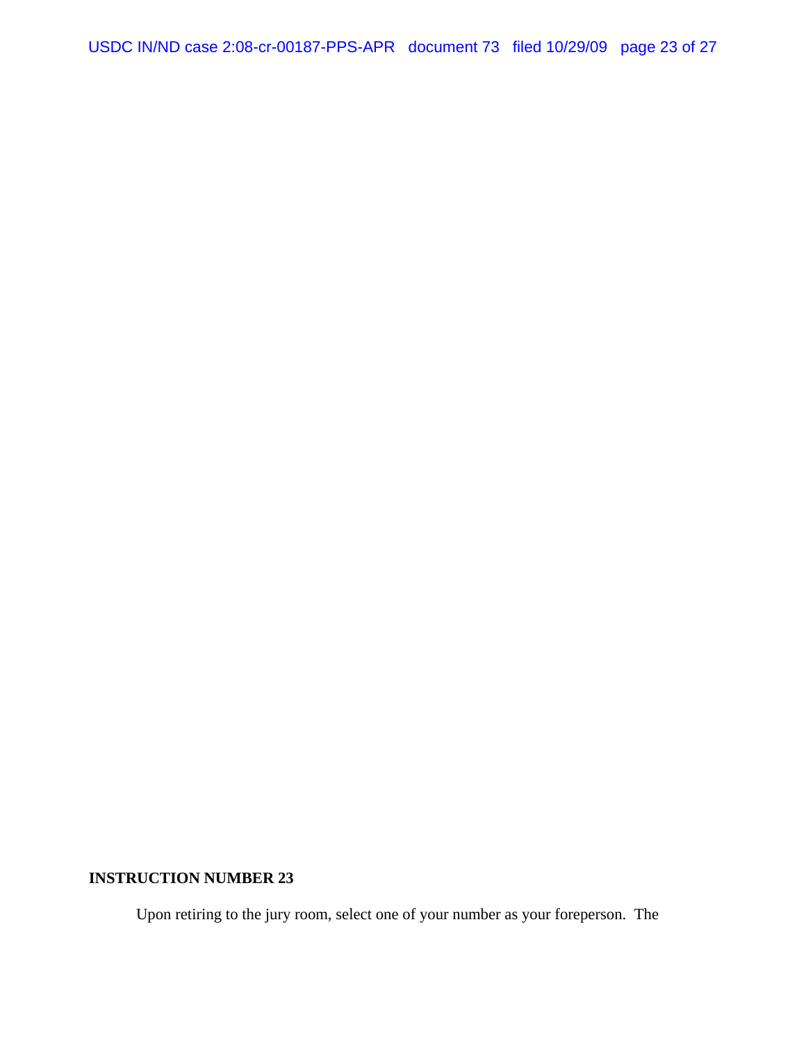USDC IN/ND case 2:08-cr-00187-PPS-APR document 73 filed 10/29/09 page 23 of 27

### **INSTRUCTION NUMBER 23**

Upon retiring to the jury room, select one of your number as your foreperson. The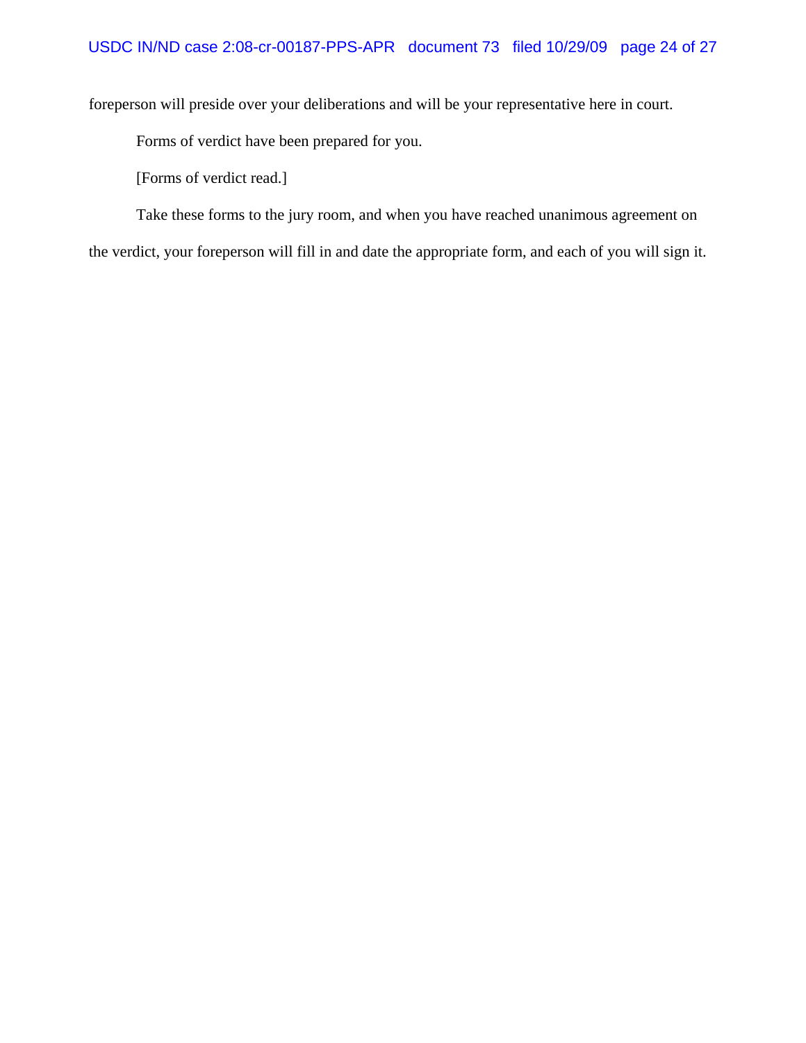foreperson will preside over your deliberations and will be your representative here in court.

Forms of verdict have been prepared for you.

[Forms of verdict read.]

Take these forms to the jury room, and when you have reached unanimous agreement on

the verdict, your foreperson will fill in and date the appropriate form, and each of you will sign it.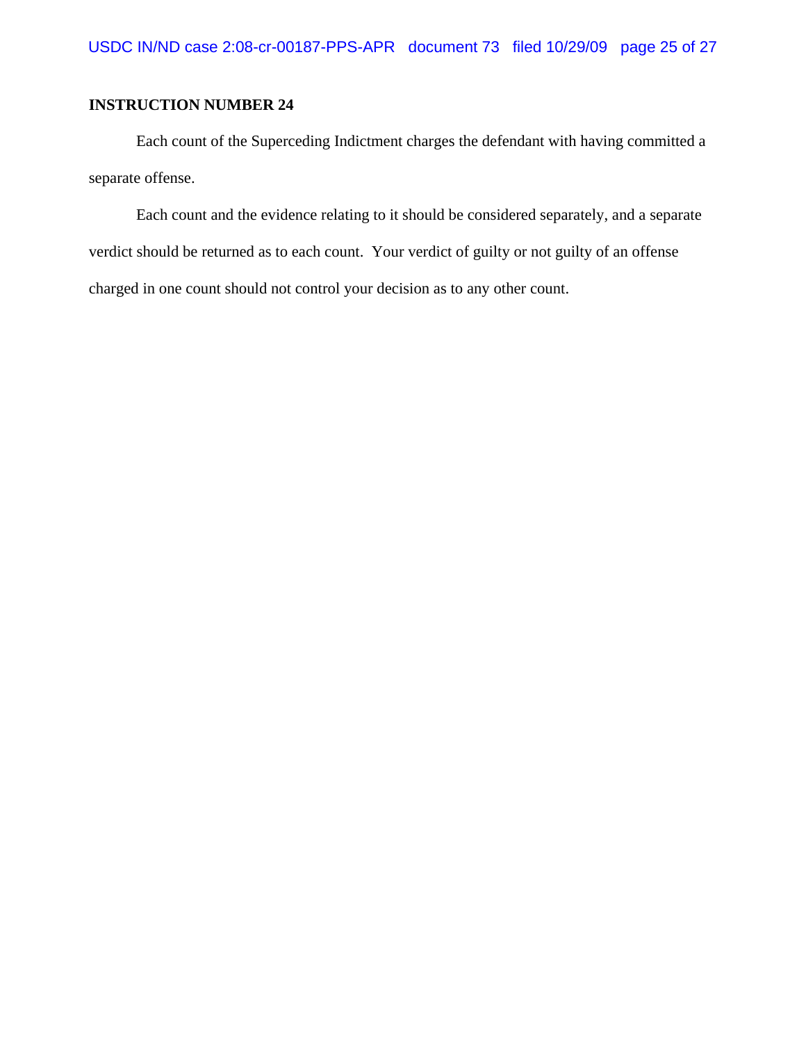Each count of the Superceding Indictment charges the defendant with having committed a separate offense.

Each count and the evidence relating to it should be considered separately, and a separate verdict should be returned as to each count. Your verdict of guilty or not guilty of an offense charged in one count should not control your decision as to any other count.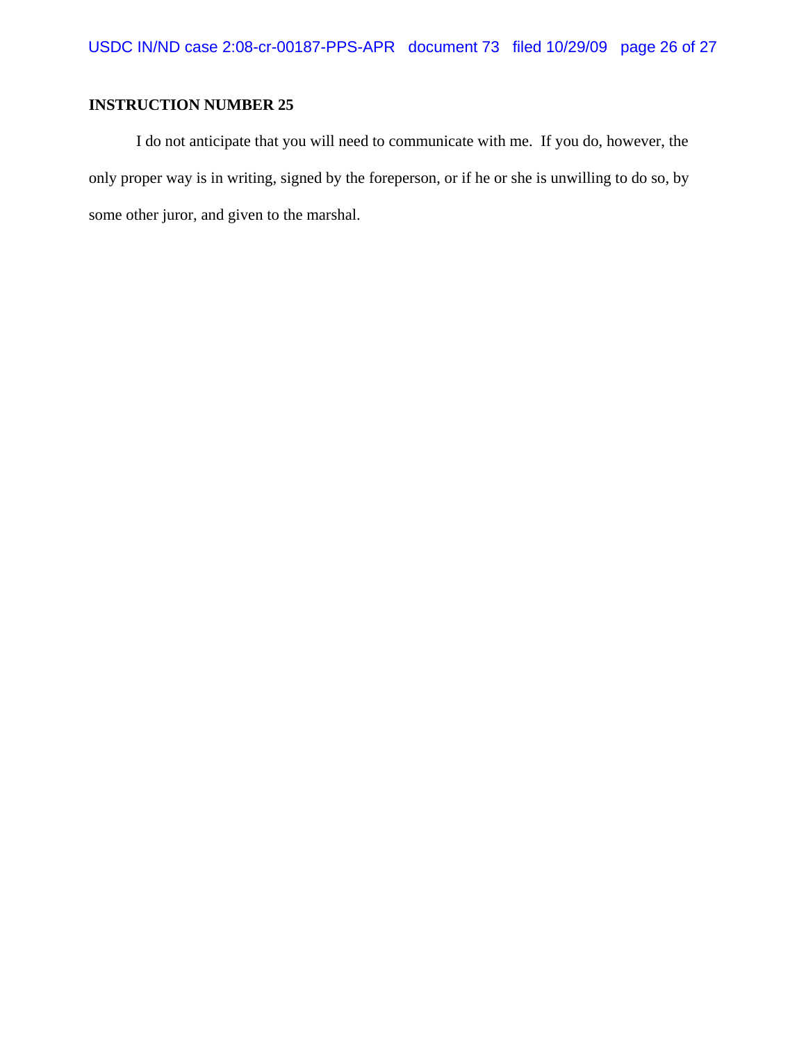I do not anticipate that you will need to communicate with me. If you do, however, the only proper way is in writing, signed by the foreperson, or if he or she is unwilling to do so, by some other juror, and given to the marshal.